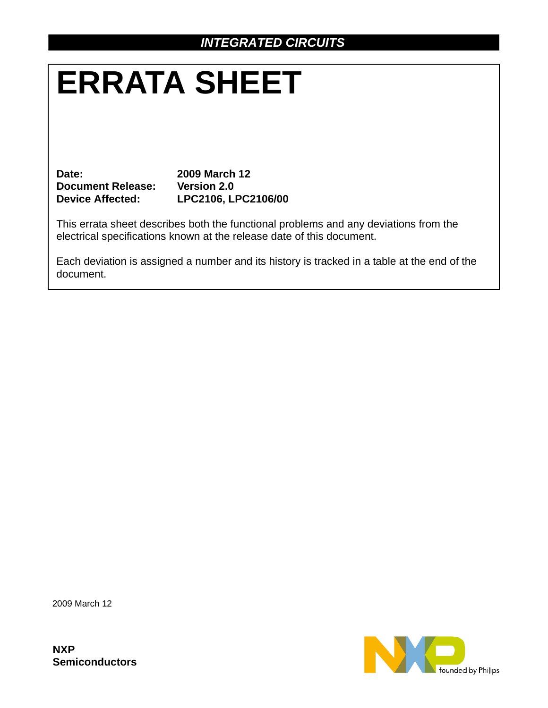# **ERRATA SHEET**

**Date: 2009 March 12 Document Release: Version 2.0**

**Device Affected: LPC2106, LPC2106/00**

This errata sheet describes both the functional problems and any deviations from the electrical specifications known at the release date of this document.

Each deviation is assigned a number and its history is tracked in a table at the end of the document.

2009 March 12

**NXP Semiconductors**

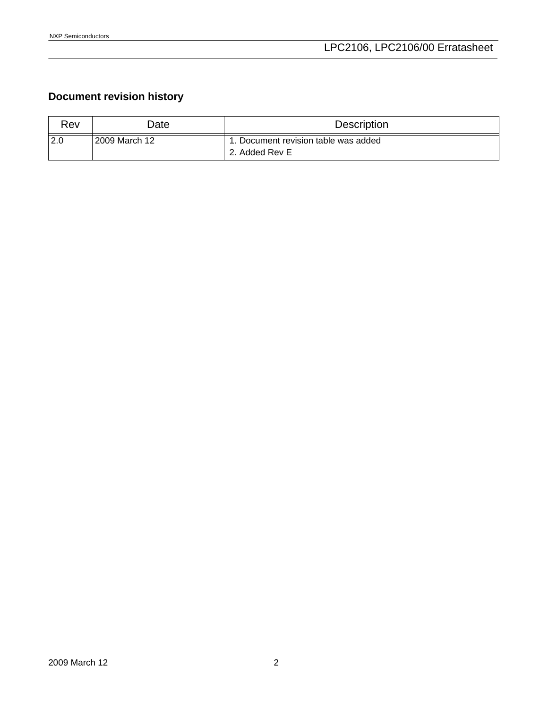# **Document revision history**

| Rev   | Date:         | <b>Description</b>                                    |
|-------|---------------|-------------------------------------------------------|
| 2.0 ا | 2009 March 12 | . Document revision table was added<br>2. Added Rev E |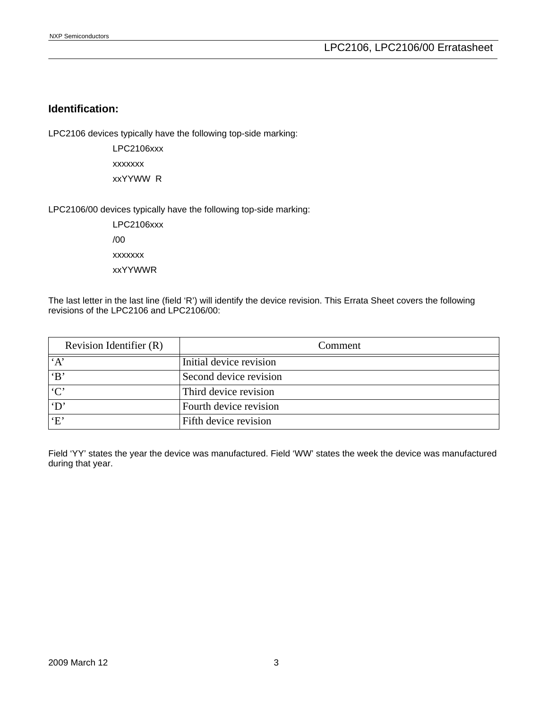## **Identification:**

LPC2106 devices typically have the following top-side marking:

LPC2106xxx xxxxxxx xxYYWW R

LPC2106/00 devices typically have the following top-side marking:

LPC2106xxx /00 xxxxxxx xxYYWWR

The last letter in the last line (field 'R') will identify the device revision. This Errata Sheet covers the following revisions of the LPC2106 and LPC2106/00:

| Revision Identifier (R) | Comment                 |
|-------------------------|-------------------------|
| A                       | Initial device revision |
| B                       | Second device revision  |
| C                       | Third device revision   |
| $\mathbf{D}^{\prime}$   | Fourth device revision  |
| E                       | Fifth device revision   |

Field 'YY' states the year the device was manufactured. Field 'WW' states the week the device was manufactured during that year.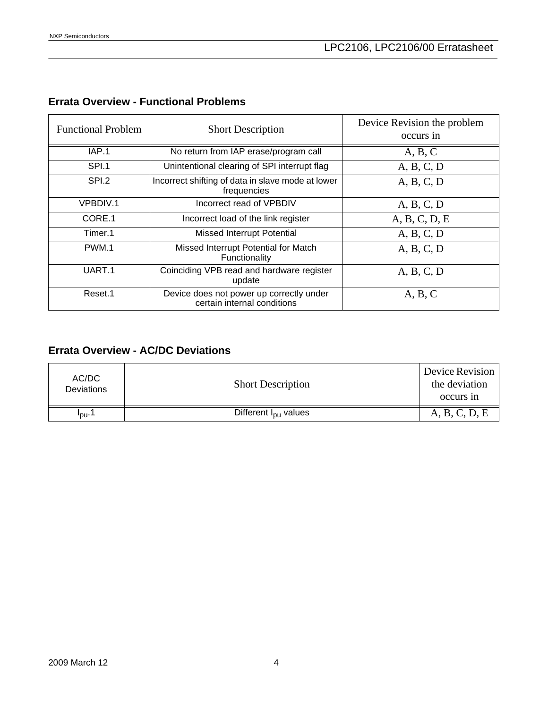# **Errata Overview - Functional Problems**

| <b>Functional Problem</b> | <b>Short Description</b>                                                | Device Revision the problem<br>occurs in |  |
|---------------------------|-------------------------------------------------------------------------|------------------------------------------|--|
| IAP.1                     | No return from IAP erase/program call                                   | A, B, C                                  |  |
| SPI.1                     | Unintentional clearing of SPI interrupt flag                            | A, B, C, D                               |  |
| SPI.2                     | Incorrect shifting of data in slave mode at lower<br>frequencies        | A, B, C, D                               |  |
| <b>VPBDIV.1</b>           | Incorrect read of VPBDIV                                                | A, B, C, D                               |  |
| CORE.1                    | Incorrect load of the link register                                     | A, B, C, D, E                            |  |
| Timer.1                   | <b>Missed Interrupt Potential</b>                                       | A, B, C, D                               |  |
| PWM.1                     | Missed Interrupt Potential for Match<br>Functionality                   | A, B, C, D                               |  |
| UART.1                    | Coinciding VPB read and hardware register<br>update                     | A, B, C, D                               |  |
| Reset.1                   | Device does not power up correctly under<br>certain internal conditions | A, B, C                                  |  |

# **Errata Overview - AC/DC Deviations**

| AC/DC<br><b>Deviations</b> | <b>Short Description</b>         | Device Revision<br>the deviation<br>occurs in |
|----------------------------|----------------------------------|-----------------------------------------------|
| 'ou'                       | Different I <sub>pu</sub> values | A, B, C, D, E                                 |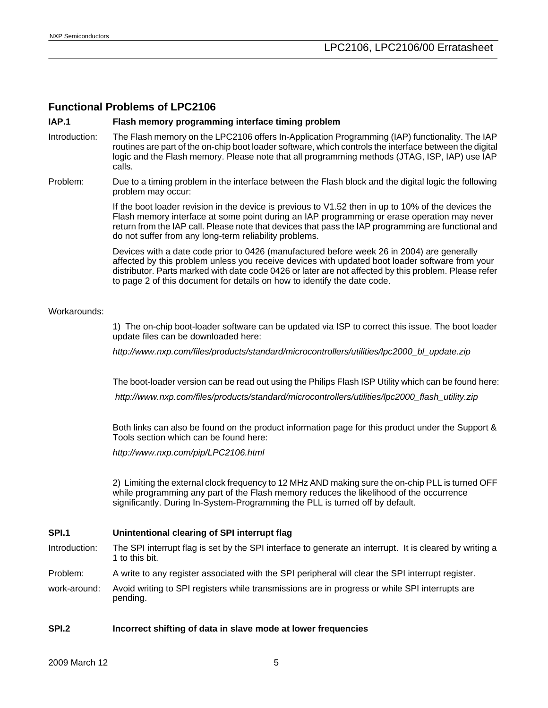## **Functional Problems of LPC2106**

#### **IAP.1 Flash memory programming interface timing problem**

- Introduction: The Flash memory on the LPC2106 offers In-Application Programming (IAP) functionality. The IAP routines are part of the on-chip boot loader software, which controls the interface between the digital logic and the Flash memory. Please note that all programming methods (JTAG, ISP, IAP) use IAP calls.
- Problem: Due to a timing problem in the interface between the Flash block and the digital logic the following problem may occur:

If the boot loader revision in the device is previous to V1.52 then in up to 10% of the devices the Flash memory interface at some point during an IAP programming or erase operation may never return from the IAP call. Please note that devices that pass the IAP programming are functional and do not suffer from any long-term reliability problems.

Devices with a date code prior to 0426 (manufactured before week 26 in 2004) are generally affected by this problem unless you receive devices with updated boot loader software from your distributor. Parts marked with date code 0426 or later are not affected by this problem. Please refer to page 2 of this document for details on how to identify the date code.

#### Workarounds:

1) The on-chip boot-loader software can be updated via ISP to correct this issue. The boot loader update files can be downloaded here:

*http://www.nxp.com/files/products/standard/microcontrollers/utilities/lpc2000\_bl\_update.zip*

The boot-loader version can be read out using the Philips Flash ISP Utility which can be found here:

*http://www.nxp.com/files/products/standard/microcontrollers/utilities/lpc2000\_flash\_utility.zip*

Both links can also be found on the product information page for this product under the Support & Tools section which can be found here:

*http://www.nxp.com/pip/LPC2106.html*

2) Limiting the external clock frequency to 12 MHz AND making sure the on-chip PLL is turned OFF while programming any part of the Flash memory reduces the likelihood of the occurrence significantly. During In-System-Programming the PLL is turned off by default.

#### **SPI.1 Unintentional clearing of SPI interrupt flag**

- Introduction: The SPI interrupt flag is set by the SPI interface to generate an interrupt. It is cleared by writing a 1 to this bit.
- Problem: A write to any register associated with the SPI peripheral will clear the SPI interrupt register.
- work-around: Avoid writing to SPI registers while transmissions are in progress or while SPI interrupts are pending.

#### **SPI.2 Incorrect shifting of data in slave mode at lower frequencies**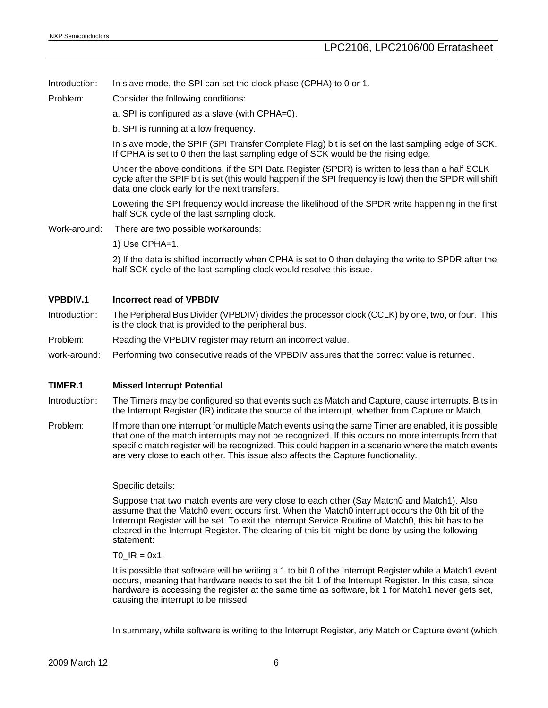Introduction: In slave mode, the SPI can set the clock phase (CPHA) to 0 or 1.

Problem: Consider the following conditions:

a. SPI is configured as a slave (with CPHA=0).

b. SPI is running at a low frequency.

In slave mode, the SPIF (SPI Transfer Complete Flag) bit is set on the last sampling edge of SCK. If CPHA is set to 0 then the last sampling edge of SCK would be the rising edge.

Under the above conditions, if the SPI Data Register (SPDR) is written to less than a half SCLK cycle after the SPIF bit is set (this would happen if the SPI frequency is low) then the SPDR will shift data one clock early for the next transfers.

Lowering the SPI frequency would increase the likelihood of the SPDR write happening in the first half SCK cycle of the last sampling clock.

- Work-around: There are two possible workarounds:
	- 1) Use CPHA=1.

2) If the data is shifted incorrectly when CPHA is set to 0 then delaying the write to SPDR after the half SCK cycle of the last sampling clock would resolve this issue.

#### **VPBDIV.1 Incorrect read of VPBDIV**

- Introduction: The Peripheral Bus Divider (VPBDIV) divides the processor clock (CCLK) by one, two, or four. This is the clock that is provided to the peripheral bus.
- Problem: Reading the VPBDIV register may return an incorrect value.
- work-around: Performing two consecutive reads of the VPBDIV assures that the correct value is returned.

#### **TIMER.1 Missed Interrupt Potential**

- Introduction: The Timers may be configured so that events such as Match and Capture, cause interrupts. Bits in the Interrupt Register (IR) indicate the source of the interrupt, whether from Capture or Match.
- Problem: If more than one interrupt for multiple Match events using the same Timer are enabled, it is possible that one of the match interrupts may not be recognized. If this occurs no more interrupts from that specific match register will be recognized. This could happen in a scenario where the match events are very close to each other. This issue also affects the Capture functionality.

#### Specific details:

Suppose that two match events are very close to each other (Say Match0 and Match1). Also assume that the Match0 event occurs first. When the Match0 interrupt occurs the 0th bit of the Interrupt Register will be set. To exit the Interrupt Service Routine of Match0, this bit has to be cleared in the Interrupt Register. The clearing of this bit might be done by using the following statement:

T0  $IR = 0x1$ ;

It is possible that software will be writing a 1 to bit 0 of the Interrupt Register while a Match1 event occurs, meaning that hardware needs to set the bit 1 of the Interrupt Register. In this case, since hardware is accessing the register at the same time as software, bit 1 for Match1 never gets set, causing the interrupt to be missed.

In summary, while software is writing to the Interrupt Register, any Match or Capture event (which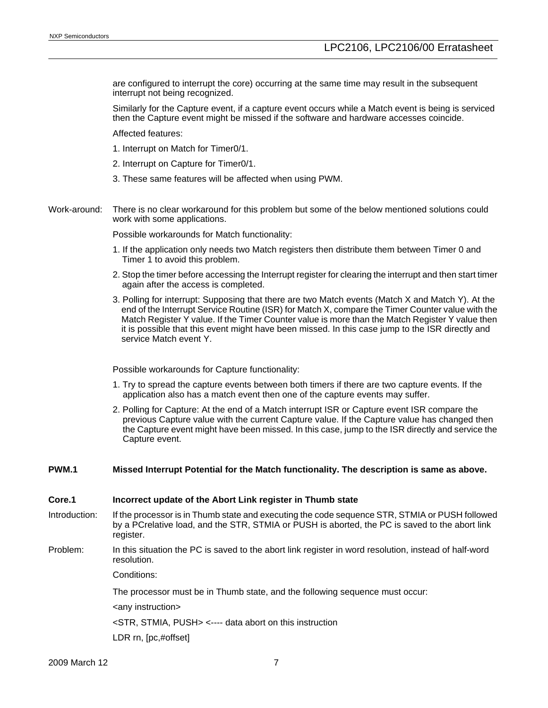are configured to interrupt the core) occurring at the same time may result in the subsequent interrupt not being recognized.

Similarly for the Capture event, if a capture event occurs while a Match event is being is serviced then the Capture event might be missed if the software and hardware accesses coincide.

Affected features:

1. Interrupt on Match for Timer0/1.

2. Interrupt on Capture for Timer0/1.

3. These same features will be affected when using PWM.

Work-around: There is no clear workaround for this problem but some of the below mentioned solutions could work with some applications.

Possible workarounds for Match functionality:

- 1. If the application only needs two Match registers then distribute them between Timer 0 and Timer 1 to avoid this problem.
- 2. Stop the timer before accessing the Interrupt register for clearing the interrupt and then start timer again after the access is completed.
- 3. Polling for interrupt: Supposing that there are two Match events (Match X and Match Y). At the end of the Interrupt Service Routine (ISR) for Match X, compare the Timer Counter value with the Match Register Y value. If the Timer Counter value is more than the Match Register Y value then it is possible that this event might have been missed. In this case jump to the ISR directly and service Match event Y.

Possible workarounds for Capture functionality:

- 1. Try to spread the capture events between both timers if there are two capture events. If the application also has a match event then one of the capture events may suffer.
- 2. Polling for Capture: At the end of a Match interrupt ISR or Capture event ISR compare the previous Capture value with the current Capture value. If the Capture value has changed then the Capture event might have been missed. In this case, jump to the ISR directly and service the Capture event.

#### **PWM.1 Missed Interrupt Potential for the Match functionality. The description is same as above.**

#### **Core.1 Incorrect update of the Abort Link register in Thumb state**

- Introduction: If the processor is in Thumb state and executing the code sequence STR, STMIA or PUSH followed by a PCrelative load, and the STR, STMIA or PUSH is aborted, the PC is saved to the abort link register.
- Problem: In this situation the PC is saved to the abort link register in word resolution, instead of half-word resolution.

Conditions:

The processor must be in Thumb state, and the following sequence must occur:

<any instruction>

<STR, STMIA, PUSH> <---- data abort on this instruction

LDR rn, [pc,#offset]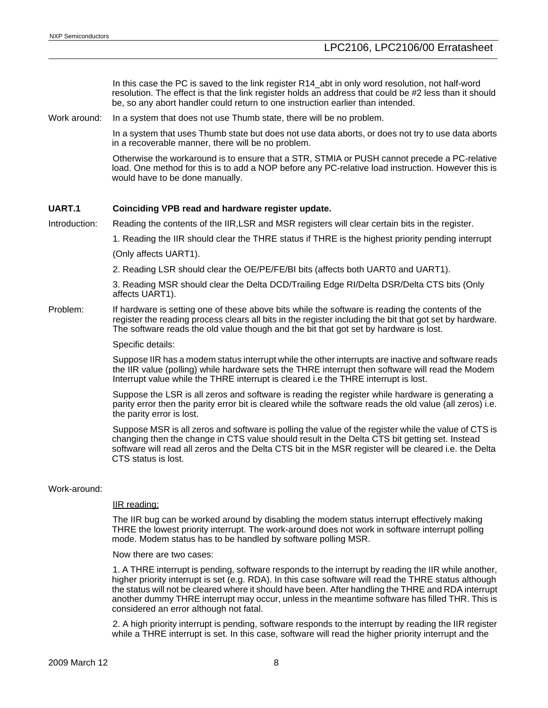In this case the PC is saved to the link register R14\_abt in only word resolution, not half-word resolution. The effect is that the link register holds an address that could be #2 less than it should be, so any abort handler could return to one instruction earlier than intended.

Work around: In a system that does not use Thumb state, there will be no problem.

In a system that uses Thumb state but does not use data aborts, or does not try to use data aborts in a recoverable manner, there will be no problem.

Otherwise the workaround is to ensure that a STR, STMIA or PUSH cannot precede a PC-relative load. One method for this is to add a NOP before any PC-relative load instruction. However this is would have to be done manually.

#### **UART.1 Coinciding VPB read and hardware register update.**

Introduction: Reading the contents of the IIR,LSR and MSR registers will clear certain bits in the register.

1. Reading the IIR should clear the THRE status if THRE is the highest priority pending interrupt

(Only affects UART1).

2. Reading LSR should clear the OE/PE/FE/BI bits (affects both UART0 and UART1).

3. Reading MSR should clear the Delta DCD/Trailing Edge RI/Delta DSR/Delta CTS bits (Only affects UART1).

Problem: If hardware is setting one of these above bits while the software is reading the contents of the register the reading process clears all bits in the register including the bit that got set by hardware. The software reads the old value though and the bit that got set by hardware is lost.

Specific details:

Suppose IIR has a modem status interrupt while the other interrupts are inactive and software reads the IIR value (polling) while hardware sets the THRE interrupt then software will read the Modem Interrupt value while the THRE interrupt is cleared i.e the THRE interrupt is lost.

Suppose the LSR is all zeros and software is reading the register while hardware is generating a parity error then the parity error bit is cleared while the software reads the old value (all zeros) i.e. the parity error is lost.

Suppose MSR is all zeros and software is polling the value of the register while the value of CTS is changing then the change in CTS value should result in the Delta CTS bit getting set. Instead software will read all zeros and the Delta CTS bit in the MSR register will be cleared i.e. the Delta CTS status is lost.

#### Work-around:

#### IIR reading:

The IIR bug can be worked around by disabling the modem status interrupt effectively making THRE the lowest priority interrupt. The work-around does not work in software interrupt polling mode. Modem status has to be handled by software polling MSR.

Now there are two cases:

1. A THRE interrupt is pending, software responds to the interrupt by reading the IIR while another, higher priority interrupt is set (e.g. RDA). In this case software will read the THRE status although the status will not be cleared where it should have been. After handling the THRE and RDA interrupt another dummy THRE interrupt may occur, unless in the meantime software has filled THR. This is considered an error although not fatal.

2. A high priority interrupt is pending, software responds to the interrupt by reading the IIR register while a THRE interrupt is set. In this case, software will read the higher priority interrupt and the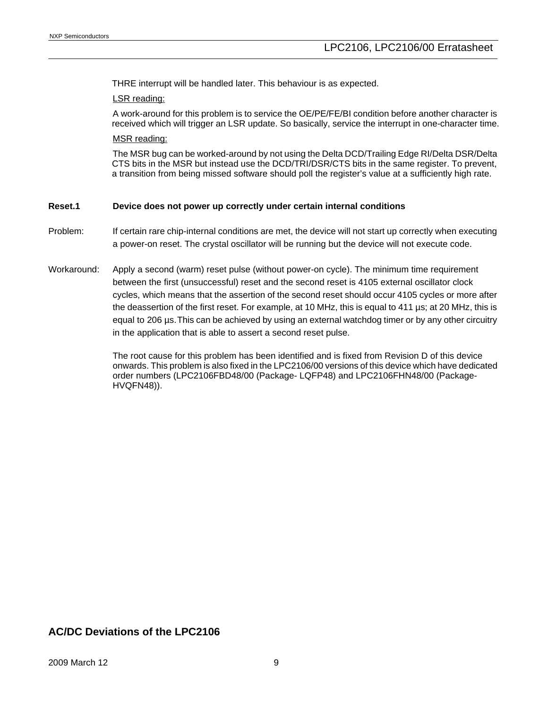THRE interrupt will be handled later. This behaviour is as expected.

#### LSR reading:

A work-around for this problem is to service the OE/PE/FE/BI condition before another character is received which will trigger an LSR update. So basically, service the interrupt in one-character time.

#### MSR reading:

The MSR bug can be worked-around by not using the Delta DCD/Trailing Edge RI/Delta DSR/Delta CTS bits in the MSR but instead use the DCD/TRI/DSR/CTS bits in the same register. To prevent, a transition from being missed software should poll the register's value at a sufficiently high rate.

### **Reset.1 Device does not power up correctly under certain internal conditions**

- Problem: If certain rare chip-internal conditions are met, the device will not start up correctly when executing a power-on reset. The crystal oscillator will be running but the device will not execute code.
- Workaround: Apply a second (warm) reset pulse (without power-on cycle). The minimum time requirement between the first (unsuccessful) reset and the second reset is 4105 external oscillator clock cycles, which means that the assertion of the second reset should occur 4105 cycles or more after the deassertion of the first reset. For example, at 10 MHz, this is equal to 411 µs; at 20 MHz, this is equal to 206 µs.This can be achieved by using an external watchdog timer or by any other circuitry in the application that is able to assert a second reset pulse.

The root cause for this problem has been identified and is fixed from Revision D of this device onwards. This problem is also fixed in the LPC2106/00 versions of this device which have dedicated order numbers (LPC2106FBD48/00 (Package- LQFP48) and LPC2106FHN48/00 (Package-HVQFN48)).

## **AC/DC Deviations of the LPC2106**